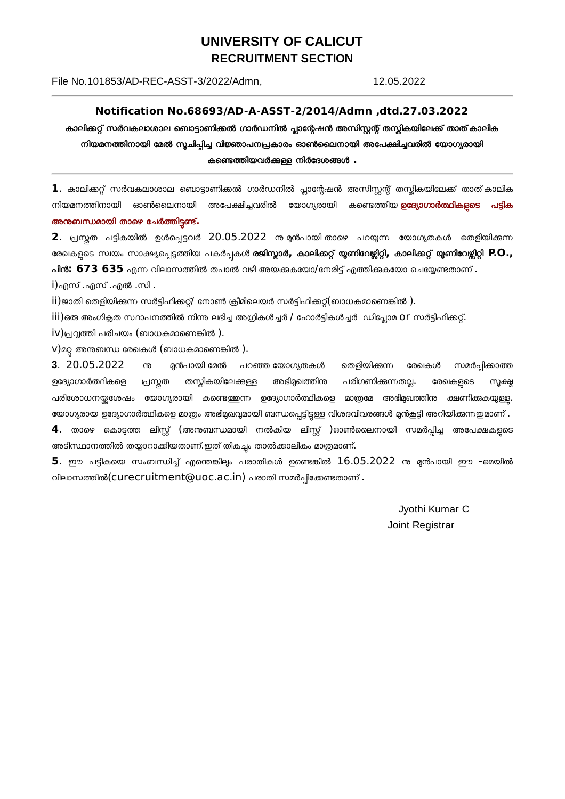## **UNIVERSITY OF CALICUT RECRUITMENT SECTION**

File No.101853/AD-REC-ASST-3/2022/Admn,

12.05.2022

## Notification No.68693/AD-A-ASST-2/2014/Admn,dtd.27.03.2022

കാലിക്കറ്റ് സർവകലാശാല ബൊട്ടാണിക്കൽ ഗാർഡനിൽ പ്ലാന്റേഷൻ അസിസ്റ്റന്റ് തസ്തികയിലേക്ക് താത് കാലിക നിയമനത്തിനായി മേൽ സൂചിപ്പിച്ച വിജ്ഞാപനപ്രകാരം ഓൺലൈനായി അപേക്ഷിച്ചവരിൽ യോഗ്യരായി കണ്ടെത്തിയവർക്കള്ള നിർദേശങ്ങൾ .

 $\, {\bf 1}$ . കാലിക്കറ്റ് സർവകലാശാല ബൊട്ടാണിക്കൽ ഗാർഡനിൽ പ്ലാന്റേഷൻ അസിസ്റ്റന്റ് തസ്തികയിലേക്ക് താത്കാലിക നിയമനത്തിനായി ഓൺലൈനായി അപേക്ഷിച്ചവരിൽ യോഗ്യരായി കണ്ടെത്തിയ **ഉദ്യോഗാർത്ഥികളടെ** പട്ടി<mark>ക</mark> അനുബന്ധമായി താഴെ ചേർത്തിട്ടണ്ട്.

2. പ്രസ്കത പട്ടികയിൽ ഉൾപ്പെട്ടവർ 20.05.2022 നു മൻപായി താഴെ പറയുന്ന യോഗ്യതകൾ തെളിയിക്കുന്ന രേഖകളുടെ സ്വയം സാക്ഷ്യപ്പെടുത്തിയ പകർപ്പകൾ **രജിസ്ടാർ, കാലിക്കറ്റ് യൂണിവേഴ്ലിറ്റി, കാലിക്കറ്റ് യൂണിവേഴ്ലിറ്റി P.O.,** പിൻ: 673 635 എന്ന വിലാസത്തിൽ തപാൽ വഴി അയക്കകയോ/നേരിട്ട് എത്തിക്കകയോ ചെയ്യേണ്ടതാണ് .

i)എസ് .എസ് .എൽ .സി .

ii)ജാതി തെളിയിക്കുന്ന സർട്ടിഫിക്കറ്റ്/ നോൺ ക്രീമിലെയർ സർട്ടിഫിക്കറ്റ്(ബാധകമാണെങ്കിൽ ).

iii)ഒരു അംഗികത സ്ഥാപനത്തിൽ നിന്നു ലഭിച്ച അഗ്രികൾച്ചർ / ഹോർട്ടികൾച്ചർ ഡിപ്പോമ OT സർട്ടിഫിക്കറ്റ്.

 $iv)$ പ്രവൃത്തി പരിചയം (ബാധകമാണെങ്കിൽ ).

 $V$ )മറ്റ അനുബന്ധ രേഖകൾ (ബാധകമാണെങ്കിൽ ).

3. 20.05.2022 ൹ മൻപായി മേൽ പറഞ്ഞ യോഗ്യതകൾ തെളിയിക്കുന്ന രേഖകൾ സമർപ്പിക്കാത്ത അഭിമുഖത്തിന്ത തസ്കികയിലേക്കുള്ള ഉദ്യോഗാർത്ഥികളെ പ്രസ്തത പരിഗണിക്കന്നതല്ല. രേഖകളടെ സ്മക്ഷ ക്ഷണിക്കുകയുള്ള. പരിശോധനയ്ക്കശേഷം യോഗ്യരായി കണ്ടെത്തുന്ന ഉദ്യോഗാർത്ഥികളെ മാത്രമേ അഭിമുഖത്തിനു യോഗ്യരായ ഉദ്യോഗാർത്ഥികളെ മാത്രം അഭിമുഖവുമായി ബന്ധപ്പെട്ടിട്ടള്ള വിശദവിവരങ്ങൾ മുൻകൂട്ടി അറിയിക്കുന്നതുമാണ് .  $\bm{4}$ . താഴെ കൊടുത്ത ലിസ്റ്റ് (അനുബന്ധമായി നൽകിയ ലിസ്റ്റ് )ഓൺലൈനായി സമർപ്പിച്ച അപേക്ഷകളടെ അടിസ്ഥാനത്തിൽ തയ്യാറാക്കിയതാണ്.ഇത് തികച്ചം താൽക്കാലികം മാത്രമാണ്.

 $5$ . ഈ പട്ടികയെ സംബന്ധിച്ച് എന്തെങ്കിലും പരാതികൾ ഉണ്ടെങ്കിൽ  $16.05.2022$  നു മൻപായി ഈ -മെയിൽ വിലാസത്തിൽ(curecruitment@uoc.ac.in) പരാതി സമർപ്പിക്കേണ്ടതാണ്.

> Jyothi Kumar C **Joint Registrar**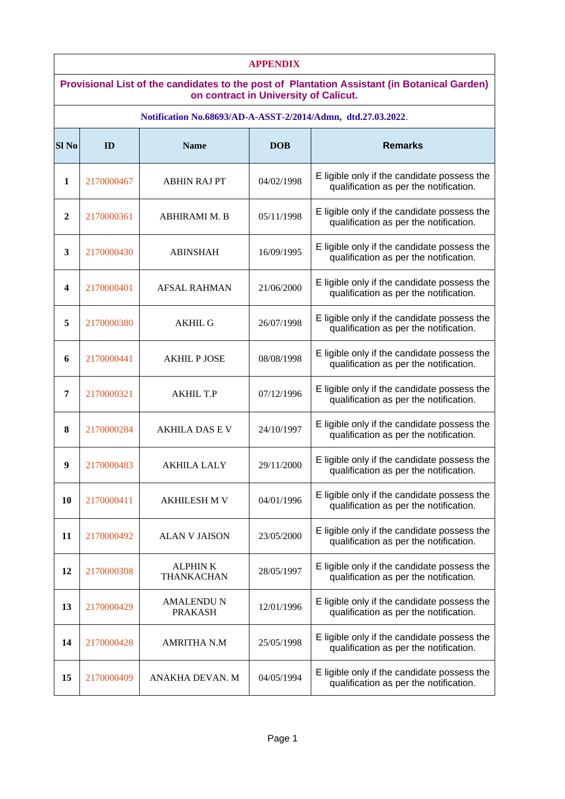| <b>APPENDIX</b>                                                                                                                       |            |                                                              |            |                                                                                       |  |
|---------------------------------------------------------------------------------------------------------------------------------------|------------|--------------------------------------------------------------|------------|---------------------------------------------------------------------------------------|--|
| Provisional List of the candidates to the post of Plantation Assistant (in Botanical Garden)<br>on contract in University of Calicut. |            |                                                              |            |                                                                                       |  |
|                                                                                                                                       |            | Notification No.68693/AD-A-ASST-2/2014/Admn, dtd.27.03.2022. |            |                                                                                       |  |
| Sl <sub>No</sub>                                                                                                                      | ID         | <b>Name</b>                                                  | <b>DOB</b> | <b>Remarks</b>                                                                        |  |
| 1                                                                                                                                     | 2170000467 | <b>ABHIN RAJ PT</b>                                          | 04/02/1998 | E ligible only if the candidate possess the<br>qualification as per the notification. |  |
| $\overline{2}$                                                                                                                        | 2170000361 | ABHIRAMI M. B                                                | 05/11/1998 | E ligible only if the candidate possess the<br>qualification as per the notification. |  |
| 3                                                                                                                                     | 2170000430 | <b>ABINSHAH</b>                                              | 16/09/1995 | E ligible only if the candidate possess the<br>qualification as per the notification. |  |
| 4                                                                                                                                     | 2170000401 | <b>AFSAL RAHMAN</b>                                          | 21/06/2000 | E ligible only if the candidate possess the<br>qualification as per the notification. |  |
| 5                                                                                                                                     | 2170000380 | <b>AKHIL G</b>                                               | 26/07/1998 | E ligible only if the candidate possess the<br>qualification as per the notification. |  |
| 6                                                                                                                                     | 2170000441 | <b>AKHIL P JOSE</b>                                          | 08/08/1998 | E ligible only if the candidate possess the<br>qualification as per the notification. |  |
| 7                                                                                                                                     | 2170000321 | <b>AKHIL T.P</b>                                             | 07/12/1996 | E ligible only if the candidate possess the<br>qualification as per the notification. |  |
| 8                                                                                                                                     | 2170000284 | <b>AKHILA DAS E V</b>                                        | 24/10/1997 | E ligible only if the candidate possess the<br>qualification as per the notification. |  |
| 9                                                                                                                                     | 2170000483 | <b>AKHILA LALY</b>                                           | 29/11/2000 | E ligible only if the candidate possess the<br>qualification as per the notification. |  |
| 10                                                                                                                                    | 2170000411 | <b>AKHILESH M V</b>                                          | 04/01/1996 | E ligible only if the candidate possess the<br>qualification as per the notification. |  |
| 11                                                                                                                                    | 2170000492 | <b>ALAN V JAISON</b>                                         | 23/05/2000 | E ligible only if the candidate possess the<br>qualification as per the notification. |  |
| 12                                                                                                                                    | 2170000308 | <b>ALPHINK</b><br>THANKACHAN                                 | 28/05/1997 | E ligible only if the candidate possess the<br>qualification as per the notification. |  |
| 13                                                                                                                                    | 2170000429 | <b>AMALENDU N</b><br><b>PRAKASH</b>                          | 12/01/1996 | E ligible only if the candidate possess the<br>qualification as per the notification. |  |
| 14                                                                                                                                    | 2170000428 | <b>AMRITHA N.M</b>                                           | 25/05/1998 | E ligible only if the candidate possess the<br>qualification as per the notification. |  |
| 15                                                                                                                                    | 2170000409 | ANAKHA DEVAN. M                                              | 04/05/1994 | E ligible only if the candidate possess the<br>qualification as per the notification. |  |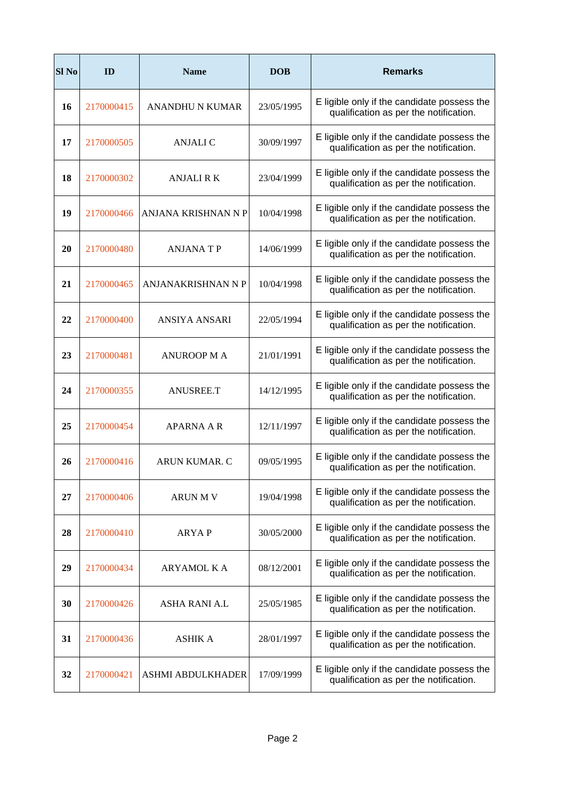| Sl <sub>No</sub> | ID         | <b>Name</b>               | <b>DOB</b> | <b>Remarks</b>                                                                        |
|------------------|------------|---------------------------|------------|---------------------------------------------------------------------------------------|
| 16               | 2170000415 | <b>ANANDHU N KUMAR</b>    | 23/05/1995 | E ligible only if the candidate possess the<br>qualification as per the notification. |
| 17               | 2170000505 | <b>ANJALI C</b>           | 30/09/1997 | E ligible only if the candidate possess the<br>qualification as per the notification. |
| 18               | 2170000302 | <b>ANJALI R K</b>         | 23/04/1999 | E ligible only if the candidate possess the<br>qualification as per the notification. |
| 19               | 2170000466 | ANJANA KRISHNAN N P       | 10/04/1998 | E ligible only if the candidate possess the<br>qualification as per the notification. |
| 20               | 2170000480 | <b>ANJANATP</b>           | 14/06/1999 | E ligible only if the candidate possess the<br>qualification as per the notification. |
| 21               | 2170000465 | <b>ANJANAKRISHNAN N P</b> | 10/04/1998 | E ligible only if the candidate possess the<br>qualification as per the notification. |
| 22               | 2170000400 | ANSIYA ANSARI             | 22/05/1994 | E ligible only if the candidate possess the<br>qualification as per the notification. |
| 23               | 2170000481 | <b>ANUROOP MA</b>         | 21/01/1991 | E ligible only if the candidate possess the<br>qualification as per the notification. |
| 24               | 2170000355 | ANUSREE.T                 | 14/12/1995 | E ligible only if the candidate possess the<br>qualification as per the notification. |
| 25               | 2170000454 | <b>APARNA A R</b>         | 12/11/1997 | E ligible only if the candidate possess the<br>qualification as per the notification. |
| 26               | 2170000416 | <b>ARUN KUMAR, C</b>      | 09/05/1995 | E ligible only if the candidate possess the<br>qualification as per the notification. |
| 27               | 2170000406 | <b>ARUN M V</b>           | 19/04/1998 | E ligible only if the candidate possess the<br>qualification as per the notification. |
| 28               | 2170000410 | <b>ARYAP</b>              | 30/05/2000 | E ligible only if the candidate possess the<br>qualification as per the notification. |
| 29               | 2170000434 | ARYAMOL K A               | 08/12/2001 | E ligible only if the candidate possess the<br>qualification as per the notification. |
| 30               | 2170000426 | ASHA RANI A.L             | 25/05/1985 | E ligible only if the candidate possess the<br>qualification as per the notification. |
| 31               | 2170000436 | <b>ASHIK A</b>            | 28/01/1997 | E ligible only if the candidate possess the<br>qualification as per the notification. |
| 32               | 2170000421 | ASHMI ABDULKHADER         | 17/09/1999 | E ligible only if the candidate possess the<br>qualification as per the notification. |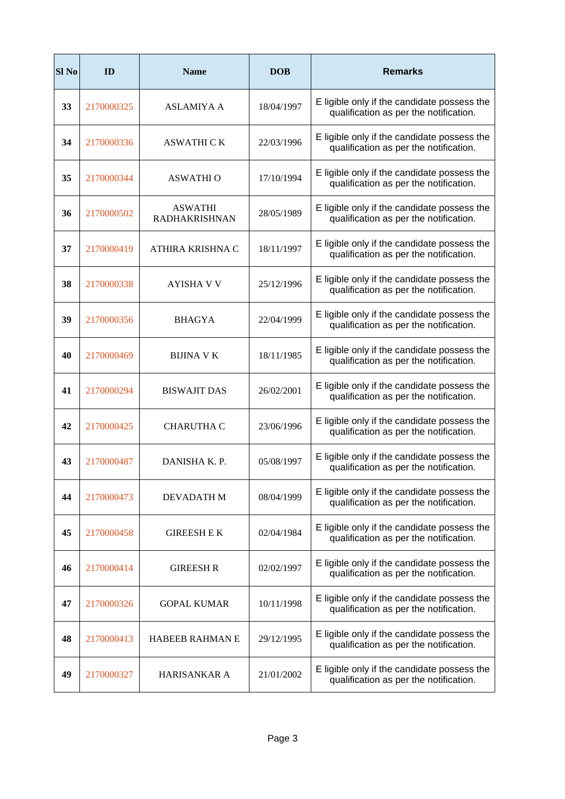| Sl <sub>No</sub> | ID         | <b>Name</b>                            | <b>DOB</b> | <b>Remarks</b>                                                                        |
|------------------|------------|----------------------------------------|------------|---------------------------------------------------------------------------------------|
| 33               | 2170000325 | <b>ASLAMIYA A</b>                      | 18/04/1997 | E ligible only if the candidate possess the<br>qualification as per the notification. |
| 34               | 2170000336 | ASWATHI C K                            | 22/03/1996 | E ligible only if the candidate possess the<br>qualification as per the notification. |
| 35               | 2170000344 | <b>ASWATHI O</b>                       | 17/10/1994 | E ligible only if the candidate possess the<br>qualification as per the notification. |
| 36               | 2170000502 | <b>ASWATHI</b><br><b>RADHAKRISHNAN</b> | 28/05/1989 | E ligible only if the candidate possess the<br>qualification as per the notification. |
| 37               | 2170000419 | ATHIRA KRISHNA C                       | 18/11/1997 | E ligible only if the candidate possess the<br>qualification as per the notification. |
| 38               | 2170000338 | <b>AYISHA V V</b>                      | 25/12/1996 | E ligible only if the candidate possess the<br>qualification as per the notification. |
| 39               | 2170000356 | <b>BHAGYA</b>                          | 22/04/1999 | E ligible only if the candidate possess the<br>qualification as per the notification. |
| 40               | 2170000469 | <b>BIJINA V K</b>                      | 18/11/1985 | E ligible only if the candidate possess the<br>qualification as per the notification. |
| 41               | 2170000294 | <b>BISWAJIT DAS</b>                    | 26/02/2001 | E ligible only if the candidate possess the<br>qualification as per the notification. |
| 42               | 2170000425 | <b>CHARUTHA C</b>                      | 23/06/1996 | E ligible only if the candidate possess the<br>qualification as per the notification. |
| 43               | 2170000487 | DANISHA K. P.                          | 05/08/1997 | E ligible only if the candidate possess the<br>qualification as per the notification. |
| 44               | 2170000473 | DEVADATH M                             | 08/04/1999 | E ligible only if the candidate possess the<br>qualification as per the notification. |
| 45               | 2170000458 | <b>GIREESH E K</b>                     | 02/04/1984 | E ligible only if the candidate possess the<br>qualification as per the notification. |
| 46               | 2170000414 | <b>GIREESH R</b>                       | 02/02/1997 | E ligible only if the candidate possess the<br>qualification as per the notification. |
| 47               | 2170000326 | <b>GOPAL KUMAR</b>                     | 10/11/1998 | E ligible only if the candidate possess the<br>qualification as per the notification. |
| 48               | 2170000413 | <b>HABEEB RAHMAN E</b>                 | 29/12/1995 | E ligible only if the candidate possess the<br>qualification as per the notification. |
| 49               | 2170000327 | <b>HARISANKAR A</b>                    | 21/01/2002 | E ligible only if the candidate possess the<br>qualification as per the notification. |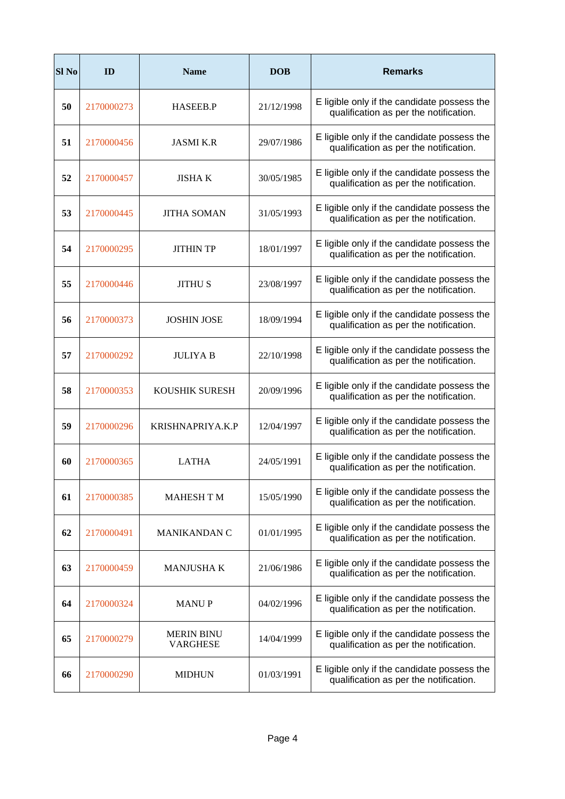| Sl <sub>No</sub> | ID         | <b>Name</b>                          | <b>DOB</b> | <b>Remarks</b>                                                                        |
|------------------|------------|--------------------------------------|------------|---------------------------------------------------------------------------------------|
| 50               | 2170000273 | <b>HASEEB.P</b>                      | 21/12/1998 | E ligible only if the candidate possess the<br>qualification as per the notification. |
| 51               | 2170000456 | <b>JASMI K.R</b>                     | 29/07/1986 | E ligible only if the candidate possess the<br>qualification as per the notification. |
| 52               | 2170000457 | <b>JISHA K</b>                       | 30/05/1985 | E ligible only if the candidate possess the<br>qualification as per the notification. |
| 53               | 2170000445 | <b>JITHA SOMAN</b>                   | 31/05/1993 | E ligible only if the candidate possess the<br>qualification as per the notification. |
| 54               | 2170000295 | <b>JITHIN TP</b>                     | 18/01/1997 | E ligible only if the candidate possess the<br>qualification as per the notification. |
| 55               | 2170000446 | <b>JITHU S</b>                       | 23/08/1997 | E ligible only if the candidate possess the<br>qualification as per the notification. |
| 56               | 2170000373 | <b>JOSHIN JOSE</b>                   | 18/09/1994 | E ligible only if the candidate possess the<br>qualification as per the notification. |
| 57               | 2170000292 | <b>JULIYA B</b>                      | 22/10/1998 | E ligible only if the candidate possess the<br>qualification as per the notification. |
| 58               | 2170000353 | KOUSHIK SURESH                       | 20/09/1996 | E ligible only if the candidate possess the<br>qualification as per the notification. |
| 59               | 2170000296 | KRISHNAPRIYA.K.P                     | 12/04/1997 | E ligible only if the candidate possess the<br>qualification as per the notification. |
| 60               | 2170000365 | <b>LATHA</b>                         | 24/05/1991 | E ligible only if the candidate possess the<br>qualification as per the notification. |
| 61               | 2170000385 | <b>MAHESH T M</b>                    | 15/05/1990 | E ligible only if the candidate possess the<br>qualification as per the notification. |
| 62               | 2170000491 | <b>MANIKANDAN C</b>                  | 01/01/1995 | E ligible only if the candidate possess the<br>qualification as per the notification. |
| 63               | 2170000459 | <b>MANJUSHAK</b>                     | 21/06/1986 | E ligible only if the candidate possess the<br>qualification as per the notification. |
| 64               | 2170000324 | <b>MANUP</b>                         | 04/02/1996 | E ligible only if the candidate possess the<br>qualification as per the notification. |
| 65               | 2170000279 | <b>MERIN BINU</b><br><b>VARGHESE</b> | 14/04/1999 | E ligible only if the candidate possess the<br>qualification as per the notification. |
| 66               | 2170000290 | <b>MIDHUN</b>                        | 01/03/1991 | E ligible only if the candidate possess the<br>qualification as per the notification. |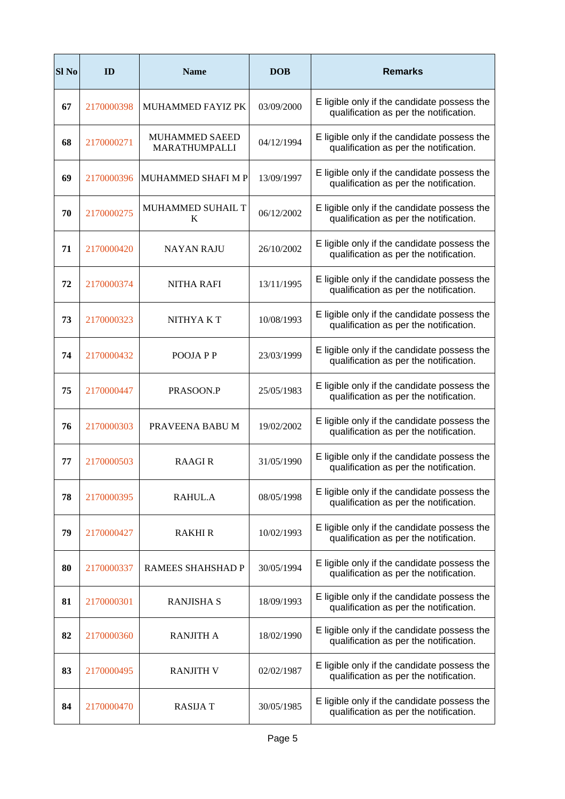| Sl <sub>No</sub> | ID         | <b>Name</b>                            | <b>DOB</b> | <b>Remarks</b>                                                                        |
|------------------|------------|----------------------------------------|------------|---------------------------------------------------------------------------------------|
| 67               | 2170000398 | MUHAMMED FAYIZ PK                      | 03/09/2000 | E ligible only if the candidate possess the<br>qualification as per the notification. |
| 68               | 2170000271 | <b>MUHAMMED SAEED</b><br>MARATHUMPALLI | 04/12/1994 | E ligible only if the candidate possess the<br>qualification as per the notification. |
| 69               | 2170000396 | MUHAMMED SHAFI M P                     | 13/09/1997 | E ligible only if the candidate possess the<br>qualification as per the notification. |
| 70               | 2170000275 | <b>MUHAMMED SUHAIL T</b><br>K          | 06/12/2002 | E ligible only if the candidate possess the<br>qualification as per the notification. |
| 71               | 2170000420 | <b>NAYAN RAJU</b>                      | 26/10/2002 | E ligible only if the candidate possess the<br>qualification as per the notification. |
| 72               | 2170000374 | <b>NITHA RAFI</b>                      | 13/11/1995 | E ligible only if the candidate possess the<br>qualification as per the notification. |
| 73               | 2170000323 | NITHYA K T                             | 10/08/1993 | E ligible only if the candidate possess the<br>qualification as per the notification. |
| 74               | 2170000432 | POOJA P P                              | 23/03/1999 | E ligible only if the candidate possess the<br>qualification as per the notification. |
| 75               | 2170000447 | PRASOON.P                              | 25/05/1983 | E ligible only if the candidate possess the<br>qualification as per the notification. |
| 76               | 2170000303 | PRAVEENA BABU M                        | 19/02/2002 | E ligible only if the candidate possess the<br>qualification as per the notification. |
| 77               | 2170000503 | <b>RAAGIR</b>                          | 31/05/1990 | E ligible only if the candidate possess the<br>qualification as per the notification. |
| 78               | 2170000395 | RAHUL.A                                | 08/05/1998 | E ligible only if the candidate possess the<br>qualification as per the notification. |
| 79               | 2170000427 | <b>RAKHI R</b>                         | 10/02/1993 | E ligible only if the candidate possess the<br>qualification as per the notification. |
| 80               | 2170000337 | RAMEES SHAHSHAD P                      | 30/05/1994 | E ligible only if the candidate possess the<br>qualification as per the notification. |
| 81               | 2170000301 | <b>RANJISHA S</b>                      | 18/09/1993 | E ligible only if the candidate possess the<br>qualification as per the notification. |
| 82               | 2170000360 | <b>RANJITH A</b>                       | 18/02/1990 | E ligible only if the candidate possess the<br>qualification as per the notification. |
| 83               | 2170000495 | <b>RANJITH V</b>                       | 02/02/1987 | E ligible only if the candidate possess the<br>qualification as per the notification. |
| 84               | 2170000470 | <b>RASIJA T</b>                        | 30/05/1985 | E ligible only if the candidate possess the<br>qualification as per the notification. |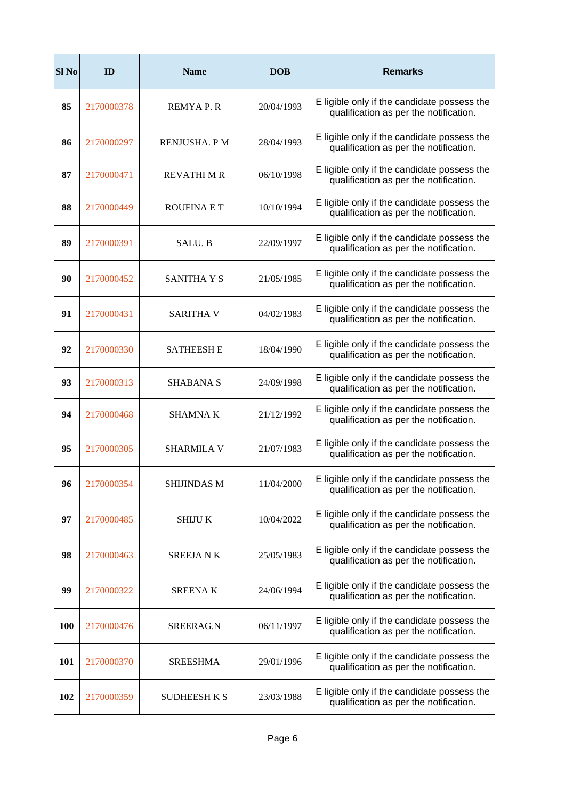| Sl <sub>No</sub> | ID         | <b>Name</b>         | <b>DOB</b> | <b>Remarks</b>                                                                        |
|------------------|------------|---------------------|------------|---------------------------------------------------------------------------------------|
| 85               | 2170000378 | <b>REMYAP.R</b>     | 20/04/1993 | E ligible only if the candidate possess the<br>qualification as per the notification. |
| 86               | 2170000297 | RENJUSHA. P M       | 28/04/1993 | E ligible only if the candidate possess the<br>qualification as per the notification. |
| 87               | 2170000471 | <b>REVATHI M R</b>  | 06/10/1998 | E ligible only if the candidate possess the<br>qualification as per the notification. |
| 88               | 2170000449 | <b>ROUFINA E T</b>  | 10/10/1994 | E ligible only if the candidate possess the<br>qualification as per the notification. |
| 89               | 2170000391 | SALU. B             | 22/09/1997 | E ligible only if the candidate possess the<br>qualification as per the notification. |
| 90               | 2170000452 | <b>SANITHA Y S</b>  | 21/05/1985 | E ligible only if the candidate possess the<br>qualification as per the notification. |
| 91               | 2170000431 | <b>SARITHA V</b>    | 04/02/1983 | E ligible only if the candidate possess the<br>qualification as per the notification. |
| 92               | 2170000330 | <b>SATHEESH E</b>   | 18/04/1990 | E ligible only if the candidate possess the<br>qualification as per the notification. |
| 93               | 2170000313 | SHABANA S           | 24/09/1998 | E ligible only if the candidate possess the<br>qualification as per the notification. |
| 94               | 2170000468 | <b>SHAMNAK</b>      | 21/12/1992 | E ligible only if the candidate possess the<br>qualification as per the notification. |
| 95               | 2170000305 | <b>SHARMILA V</b>   | 21/07/1983 | E ligible only if the candidate possess the<br>qualification as per the notification. |
| 96               | 2170000354 | SHIJINDAS M         | 11/04/2000 | E ligible only if the candidate possess the<br>qualification as per the notification. |
| 97               | 2170000485 | <b>SHIJU K</b>      | 10/04/2022 | E ligible only if the candidate possess the<br>qualification as per the notification. |
| 98               | 2170000463 | <b>SREEJANK</b>     | 25/05/1983 | E ligible only if the candidate possess the<br>qualification as per the notification. |
| 99               | 2170000322 | <b>SREENAK</b>      | 24/06/1994 | E ligible only if the candidate possess the<br>qualification as per the notification. |
| <b>100</b>       | 2170000476 | SREERAG.N           | 06/11/1997 | E ligible only if the candidate possess the<br>qualification as per the notification. |
| 101              | 2170000370 | <b>SREESHMA</b>     | 29/01/1996 | E ligible only if the candidate possess the<br>qualification as per the notification. |
| 102              | 2170000359 | <b>SUDHEESH K S</b> | 23/03/1988 | E ligible only if the candidate possess the<br>qualification as per the notification. |